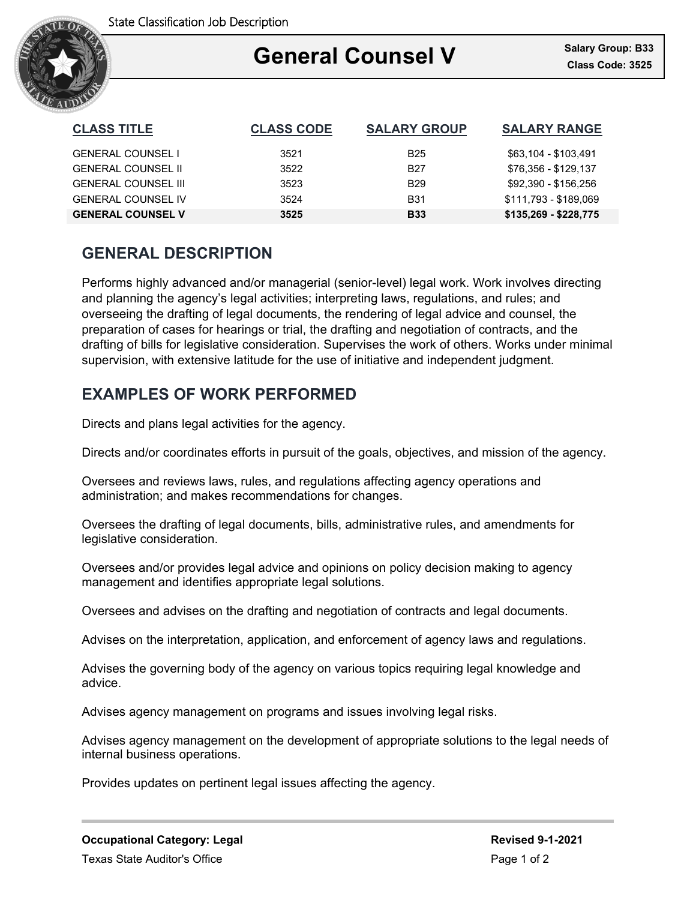

### Ξ **General Counsel V**

| <b>CLASS TITLE</b>         | <b>CLASS CODE</b> | <b>SALARY GROUP</b> | <b>SALARY RANGE</b>   |
|----------------------------|-------------------|---------------------|-----------------------|
| <b>GENERAL COUNSEL I</b>   | 3521              | B25                 | \$63,104 - \$103,491  |
| <b>GENERAL COUNSEL II</b>  | 3522              | B27                 | \$76,356 - \$129,137  |
| <b>GENERAL COUNSEL III</b> | 3523              | B <sub>29</sub>     | \$92,390 - \$156,256  |
| <b>GENERAL COUNSEL IV</b>  | 3524              | B31                 | \$111,793 - \$189,069 |
| <b>GENERAL COUNSEL V</b>   | 3525              | <b>B33</b>          | $$135,269 - $228,775$ |

# **GENERAL DESCRIPTION**

Performs highly advanced and/or managerial (senior-level) legal work. Work involves directing and planning the agency's legal activities; interpreting laws, regulations, and rules; and overseeing the drafting of legal documents, the rendering of legal advice and counsel, the preparation of cases for hearings or trial, the drafting and negotiation of contracts, and the drafting of bills for legislative consideration. Supervises the work of others. Works under minimal supervision, with extensive latitude for the use of initiative and independent judgment.

# **EXAMPLES OF WORK PERFORMED**

Directs and plans legal activities for the agency.

Directs and/or coordinates efforts in pursuit of the goals, objectives, and mission of the agency.

Oversees and reviews laws, rules, and regulations affecting agency operations and administration; and makes recommendations for changes.

Oversees the drafting of legal documents, bills, administrative rules, and amendments for legislative consideration.

Oversees and/or provides legal advice and opinions on policy decision making to agency management and identifies appropriate legal solutions.

Oversees and advises on the drafting and negotiation of contracts and legal documents.

Advises on the interpretation, application, and enforcement of agency laws and regulations.

Advises the governing body of the agency on various topics requiring legal knowledge and advice.

Advises agency management on programs and issues involving legal risks.

Advises agency management on the development of appropriate solutions to the legal needs of internal business operations.

Provides updates on pertinent legal issues affecting the agency.